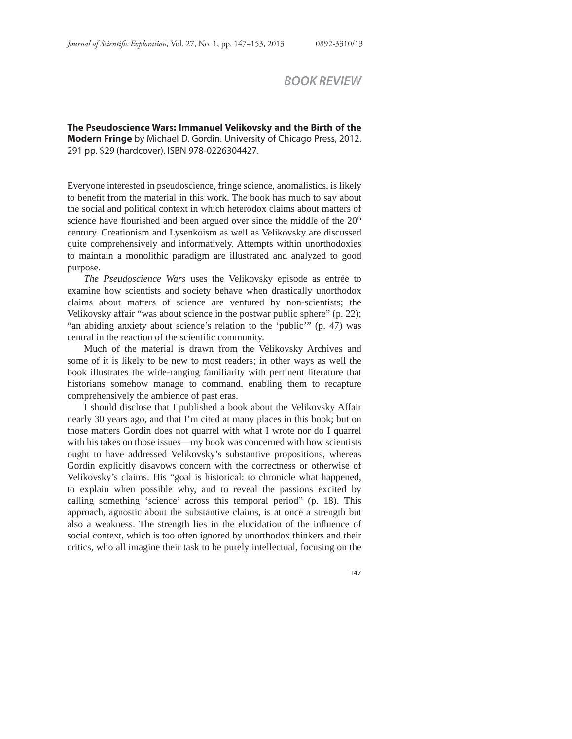## *BOOK REVIEW*

**The Pseudoscience Wars: Immanuel Velikovsky and the Birth of the Modern Fringe** by Michael D. Gordin. University of Chicago Press, 2012. 291 pp. \$29 (hardcover). ISBN 978-0226304427.

Everyone interested in pseudoscience, fringe science, anomalistics, is likely to benefit from the material in this work. The book has much to say about the social and political context in which heterodox claims about matters of science have flourished and been argued over since the middle of the 20<sup>th</sup> century. Creationism and Lysenkoism as well as Velikovsky are discussed quite comprehensively and informatively. Attempts within unorthodoxies to maintain a monolithic paradigm are illustrated and analyzed to good purpose.

*The Pseudoscience Wars* uses the Velikovsky episode as entrée to examine how scientists and society behave when drastically unorthodox claims about matters of science are ventured by non-scientists; the Velikovsky affair "was about science in the postwar public sphere" (p. 22); "an abiding anxiety about science's relation to the 'public'" (p. 47) was central in the reaction of the scientific community.

Much of the material is drawn from the Velikovsky Archives and some of it is likely to be new to most readers; in other ways as well the book illustrates the wide-ranging familiarity with pertinent literature that historians somehow manage to command, enabling them to recapture comprehensively the ambience of past eras.

I should disclose that I published a book about the Velikovsky Affair nearly 30 years ago, and that I'm cited at many places in this book; but on those matters Gordin does not quarrel with what I wrote nor do I quarrel with his takes on those issues—my book was concerned with how scientists ought to have addressed Velikovsky's substantive propositions, whereas Gordin explicitly disavows concern with the correctness or otherwise of Velikovsky's claims. His "goal is historical: to chronicle what happened, to explain when possible why, and to reveal the passions excited by calling something 'science' across this temporal period" (p. 18). This approach, agnostic about the substantive claims, is at once a strength but also a weakness. The strength lies in the elucidation of the influence of social context, which is too often ignored by unorthodox thinkers and their critics, who all imagine their task to be purely intellectual, focusing on the

147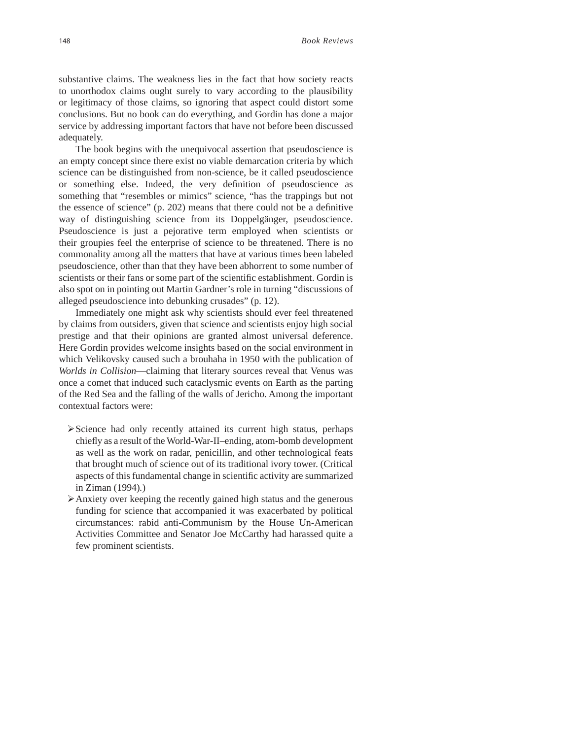substantive claims. The weakness lies in the fact that how society reacts to unorthodox claims ought surely to vary according to the plausibility or legitimacy of those claims, so ignoring that aspect could distort some conclusions. But no book can do everything, and Gordin has done a major service by addressing important factors that have not before been discussed adequately.

The book begins with the unequivocal assertion that pseudoscience is an empty concept since there exist no viable demarcation criteria by which science can be distinguished from non-science, be it called pseudoscience or something else. Indeed, the very definition of pseudoscience as something that "resembles or mimics" science, "has the trappings but not the essence of science"  $(p. 202)$  means that there could not be a definitive way of distinguishing science from its Doppelgänger, pseudoscience. Pseudoscience is just a pejorative term employed when scientists or their groupies feel the enterprise of science to be threatened. There is no commonality among all the matters that have at various times been labeled pseudoscience, other than that they have been abhorrent to some number of scientists or their fans or some part of the scientific establishment. Gordin is also spot on in pointing out Martin Gardner's role in turning "discussions of alleged pseudoscience into debunking crusades" (p. 12).

Immediately one might ask why scientists should ever feel threatened by claims from outsiders, given that science and scientists enjoy high social prestige and that their opinions are granted almost universal deference. Here Gordin provides welcome insights based on the social environment in which Velikovsky caused such a brouhaha in 1950 with the publication of *Worlds in Collision*—claiming that literary sources reveal that Venus was once a comet that induced such cataclysmic events on Earth as the parting of the Red Sea and the falling of the walls of Jericho. Among the important contextual factors were:

- $\triangleright$  Science had only recently attained its current high status, perhaps chiefly as a result of the World-War-II–ending, atom-bomb development as well as the work on radar, penicillin, and other technological feats that brought much of science out of its traditional ivory tower. (Critical aspects of this fundamental change in scientific activity are summarized in Ziman (1994)*.*)
- Anxiety over keeping the recently gained high status and the generous funding for science that accompanied it was exacerbated by political circumstances: rabid anti-Communism by the House Un-American Activities Committee and Senator Joe McCarthy had harassed quite a few prominent scientists.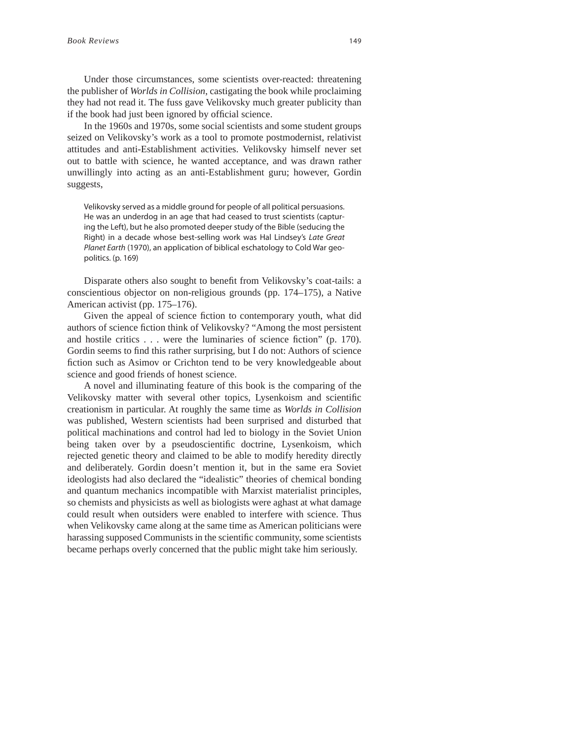Under those circumstances, some scientists over-reacted: threatening the publisher of *Worlds in Collision*, castigating the book while proclaiming they had not read it. The fuss gave Velikovsky much greater publicity than if the book had just been ignored by official science.

In the 1960s and 1970s, some social scientists and some student groups seized on Velikovsky's work as a tool to promote postmodernist, relativist attitudes and anti-Establishment activities. Velikovsky himself never set out to battle with science, he wanted acceptance, and was drawn rather unwillingly into acting as an anti-Establishment guru; however, Gordin suggests,

Velikovsky served as a middle ground for people of all political persuasions. He was an underdog in an age that had ceased to trust scientists (capturing the Left), but he also promoted deeper study of the Bible (seducing the Right) in a decade whose best-selling work was Hal Lindsey's Late Great Planet Earth (1970), an application of biblical eschatology to Cold War geopolitics. (p. 169)

Disparate others also sought to benefit from Velikovsky's coat-tails: a conscientious objector on non-religious grounds (pp. 174–175), a Native American activist (pp. 175–176).

Given the appeal of science fiction to contemporary youth, what did authors of science fiction think of Velikovsky? "Among the most persistent and hostile critics  $\dots$  were the luminaries of science fiction" (p. 170). Gordin seems to find this rather surprising, but I do not: Authors of science fiction such as Asimov or Crichton tend to be very knowledgeable about science and good friends of honest science.

A novel and illuminating feature of this book is the comparing of the Velikovsky matter with several other topics, Lysenkoism and scientific creationism in particular. At roughly the same time as *Worlds in Collision* was published, Western scientists had been surprised and disturbed that political machinations and control had led to biology in the Soviet Union being taken over by a pseudoscientific doctrine, Lysenkoism, which rejected genetic theory and claimed to be able to modify heredity directly and deliberately. Gordin doesn't mention it, but in the same era Soviet ideologists had also declared the "idealistic" theories of chemical bonding and quantum mechanics incompatible with Marxist materialist principles, so chemists and physicists as well as biologists were aghast at what damage could result when outsiders were enabled to interfere with science. Thus when Velikovsky came along at the same time as American politicians were harassing supposed Communists in the scientific community, some scientists became perhaps overly concerned that the public might take him seriously.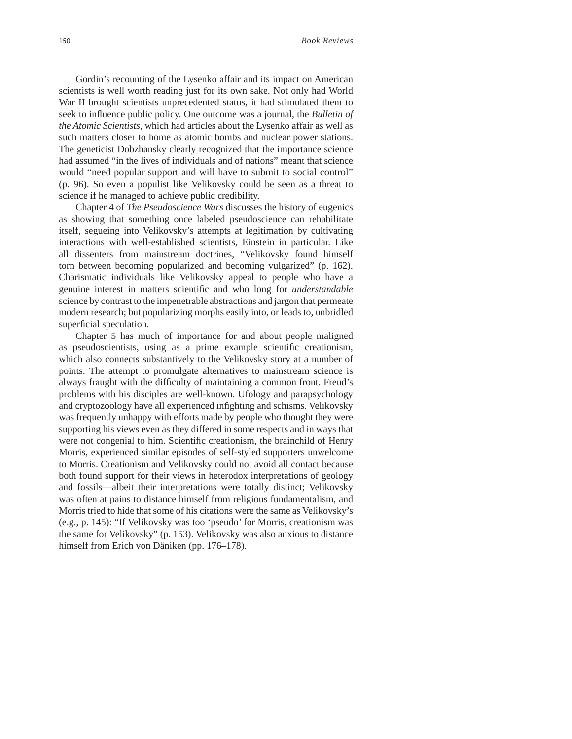Gordin's recounting of the Lysenko affair and its impact on American scientists is well worth reading just for its own sake. Not only had World War II brought scientists unprecedented status, it had stimulated them to seek to influence public policy. One outcome was a journal, the *Bulletin of the Atomic Scientists*, which had articles about the Lysenko affair as well as such matters closer to home as atomic bombs and nuclear power stations. The geneticist Dobzhansky clearly recognized that the importance science had assumed "in the lives of individuals and of nations" meant that science would "need popular support and will have to submit to social control" (p. 96). So even a populist like Velikovsky could be seen as a threat to science if he managed to achieve public credibility.

Chapter 4 of *The Pseudoscience Wars* discusses the history of eugenics as showing that something once labeled pseudoscience can rehabilitate itself, segueing into Velikovsky's attempts at legitimation by cultivating interactions with well-established scientists, Einstein in particular. Like all dissenters from mainstream doctrines, "Velikovsky found himself torn between becoming popularized and becoming vulgarized" (p. 162). Charismatic individuals like Velikovsky appeal to people who have a genuine interest in matters scientific and who long for *understandable* science by contrast to the impenetrable abstractions and jargon that permeate modern research; but popularizing morphs easily into, or leads to, unbridled superficial speculation.

Chapter 5 has much of importance for and about people maligned as pseudoscientists, using as a prime example scientific creationism, which also connects substantively to the Velikovsky story at a number of points. The attempt to promulgate alternatives to mainstream science is always fraught with the difficulty of maintaining a common front. Freud's problems with his disciples are well-known. Ufology and parapsychology and cryptozoology have all experienced infighting and schisms. Velikovsky was frequently unhappy with efforts made by people who thought they were supporting his views even as they differed in some respects and in ways that were not congenial to him. Scientific creationism, the brainchild of Henry Morris, experienced similar episodes of self-styled supporters unwelcome to Morris. Creationism and Velikovsky could not avoid all contact because both found support for their views in heterodox interpretations of geology and fossils—albeit their interpretations were totally distinct; Velikovsky was often at pains to distance himself from religious fundamentalism, and Morris tried to hide that some of his citations were the same as Velikovsky's (e.g., p. 145): "If Velikovsky was too 'pseudo' for Morris, creationism was the same for Velikovsky" (p. 153). Velikovsky was also anxious to distance himself from Erich von Däniken (pp. 176–178).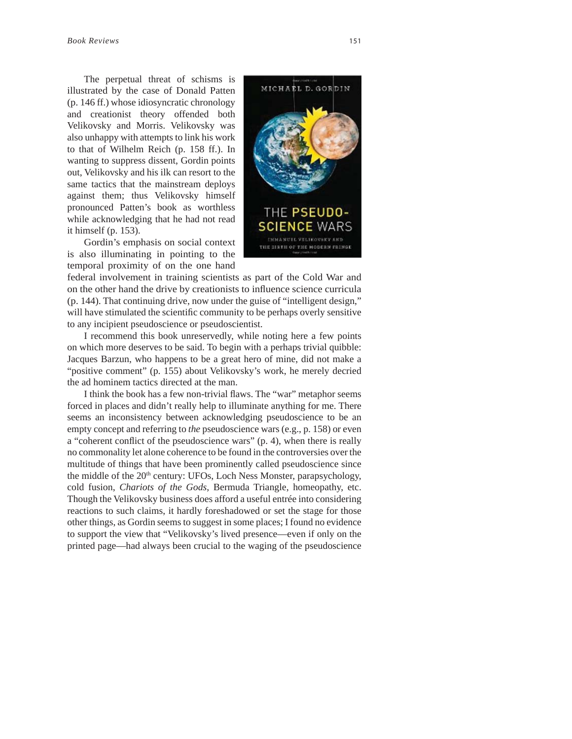The perpetual threat of schisms is illustrated by the case of Donald Patten (p. 146 ff.) whose idiosyncratic chronology and creationist theory offended both Velikovsky and Morris. Velikovsky was also unhappy with attempts to link his work to that of Wilhelm Reich (p. 158 ff.). In wanting to suppress dissent, Gordin points out, Velikovsky and his ilk can resort to the same tactics that the mainstream deploys against them; thus Velikovsky himself pronounced Patten's book as worthless while acknowledging that he had not read it himself (p. 153).

Gordin's emphasis on social context is also illuminating in pointing to the temporal proximity of on the one hand



federal involvement in training scientists as part of the Cold War and on the other hand the drive by creationists to influence science curricula (p. 144). That continuing drive, now under the guise of "intelligent design," will have stimulated the scientific community to be perhaps overly sensitive to any incipient pseudoscience or pseudoscientist.

I recommend this book unreservedly, while noting here a few points on which more deserves to be said. To begin with a perhaps trivial quibble: Jacques Barzun, who happens to be a great hero of mine, did not make a "positive comment" (p. 155) about Velikovsky's work, he merely decried the ad hominem tactics directed at the man.

I think the book has a few non-trivial flaws. The "war" metaphor seems forced in places and didn't really help to illuminate anything for me. There seems an inconsistency between acknowledging pseudoscience to be an empty concept and referring to *the* pseudoscience wars (e.g., p. 158) or even a "coherent conflict of the pseudoscience wars" (p. 4), when there is really no commonality let alone coherence to be found in the controversies over the multitude of things that have been prominently called pseudoscience since the middle of the  $20<sup>th</sup>$  century: UFOs, Loch Ness Monster, parapsychology, cold fusion, *Chariots of the Gods*, Bermuda Triangle, homeopathy, etc. Though the Velikovsky business does afford a useful entrée into considering reactions to such claims, it hardly foreshadowed or set the stage for those other things, as Gordin seems to suggest in some places; I found no evidence to support the view that "Velikovsky's lived presence—even if only on the printed page—had always been crucial to the waging of the pseudoscience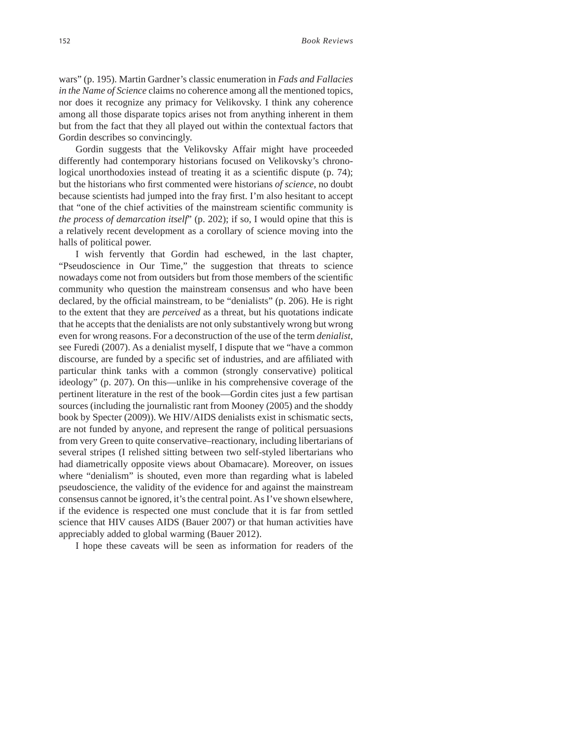wars" (p. 195). Martin Gardner's classic enumeration in *Fads and Fallacies in the Name of Science* claims no coherence among all the mentioned topics, nor does it recognize any primacy for Velikovsky. I think any coherence among all those disparate topics arises not from anything inherent in them but from the fact that they all played out within the contextual factors that Gordin describes so convincingly.

Gordin suggests that the Velikovsky Affair might have proceeded differently had contemporary historians focused on Velikovsky's chronological unorthodoxies instead of treating it as a scientific dispute  $(p. 74)$ ; but the historians who first commented were historians *of science*, no doubt because scientists had jumped into the fray first. I'm also hesitant to accept that "one of the chief activities of the mainstream scientific community is *the process of demarcation itself*" (p. 202); if so, I would opine that this is a relatively recent development as a corollary of science moving into the halls of political power.

I wish fervently that Gordin had eschewed, in the last chapter, "Pseudoscience in Our Time," the suggestion that threats to science nowadays come not from outsiders but from those members of the scientific community who question the mainstream consensus and who have been declared, by the official mainstream, to be "denialists" (p. 206). He is right to the extent that they are *perceived* as a threat, but his quotations indicate that he accepts that the denialists are not only substantively wrong but wrong even for wrong reasons. For a deconstruction of the use of the term *denialist*, see Furedi (2007). As a denialist myself, I dispute that we "have a common discourse, are funded by a specific set of industries, and are affiliated with particular think tanks with a common (strongly conservative) political ideology" (p. 207). On this—unlike in his comprehensive coverage of the pertinent literature in the rest of the book—Gordin cites just a few partisan sources (including the journalistic rant from Mooney (2005) and the shoddy book by Specter (2009)). We HIV/AIDS denialists exist in schismatic sects, are not funded by anyone, and represent the range of political persuasions from very Green to quite conservative–reactionary, including libertarians of several stripes (I relished sitting between two self-styled libertarians who had diametrically opposite views about Obamacare). Moreover, on issues where "denialism" is shouted, even more than regarding what is labeled pseudoscience, the validity of the evidence for and against the mainstream consensus cannot be ignored, it's the central point. As I've shown elsewhere, if the evidence is respected one must conclude that it is far from settled science that HIV causes AIDS (Bauer 2007) or that human activities have appreciably added to global warming (Bauer 2012).

I hope these caveats will be seen as information for readers of the